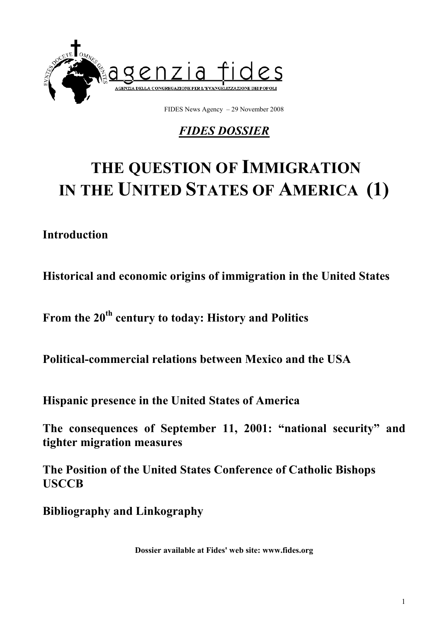

FIDES News Agency – 29 November 2008

## *FIDES DOSSIER*

# **THE QUESTION OF IMMIGRATION IN THE UNITED STATES OF AMERICA (1)**

## **Introduction**

**Historical and economic origins of immigration in the United States** 

**From the 20th century to today: History and Politics** 

**Political-commercial relations between Mexico and the USA** 

**Hispanic presence in the United States of America** 

**The consequences of September 11, 2001: "national security" and tighter migration measures** 

**The Position of the United States Conference of Catholic Bishops USCCB** 

**Bibliography and Linkography** 

**Dossier available at Fides' web site: www.fides.org**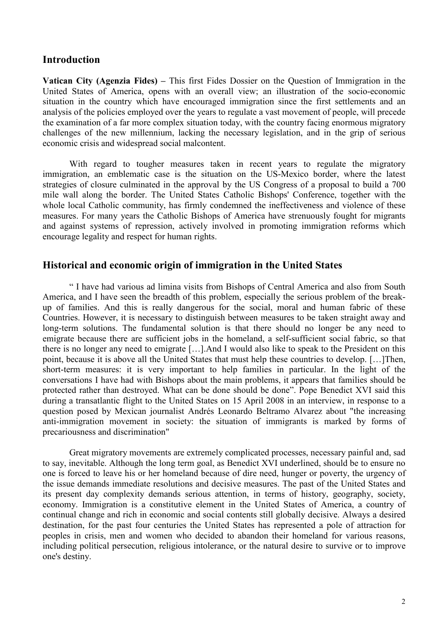#### **Introduction**

**Vatican City (Agenzia Fides) –** This first Fides Dossier on the Question of Immigration in the United States of America, opens with an overall view; an illustration of the socio-economic situation in the country which have encouraged immigration since the first settlements and an analysis of the policies employed over the years to regulate a vast movement of people, will precede the examination of a far more complex situation today, with the country facing enormous migratory challenges of the new millennium, lacking the necessary legislation, and in the grip of serious economic crisis and widespread social malcontent.

With regard to tougher measures taken in recent years to regulate the migratory immigration, an emblematic case is the situation on the US-Mexico border, where the latest strategies of closure culminated in the approval by the US Congress of a proposal to build a 700 mile wall along the border. The United States Catholic Bishops' Conference, together with the whole local Catholic community, has firmly condemned the ineffectiveness and violence of these measures. For many years the Catholic Bishops of America have strenuously fought for migrants and against systems of repression, actively involved in promoting immigration reforms which encourage legality and respect for human rights.

#### **Historical and economic origin of immigration in the United States**

" I have had various ad limina visits from Bishops of Central America and also from South America, and I have seen the breadth of this problem, especially the serious problem of the breakup of families. And this is really dangerous for the social, moral and human fabric of these Countries. However, it is necessary to distinguish between measures to be taken straight away and long-term solutions. The fundamental solution is that there should no longer be any need to emigrate because there are sufficient jobs in the homeland, a self-sufficient social fabric, so that there is no longer any need to emigrate […].And I would also like to speak to the President on this point, because it is above all the United States that must help these countries to develop. […]Then, short-term measures: it is very important to help families in particular. In the light of the conversations I have had with Bishops about the main problems, it appears that families should be protected rather than destroyed. What can be done should be done". Pope Benedict XVI said this during a transatlantic flight to the United States on 15 April 2008 in an interview, in response to a question posed by Mexican journalist Andrés Leonardo Beltramo Alvarez about "the increasing anti-immigration movement in society: the situation of immigrants is marked by forms of precariousness and discrimination"

Great migratory movements are extremely complicated processes, necessary painful and, sad to say, inevitable. Although the long term goal, as Benedict XVI underlined, should be to ensure no one is forced to leave his or her homeland because of dire need, hunger or poverty, the urgency of the issue demands immediate resolutions and decisive measures. The past of the United States and its present day complexity demands serious attention, in terms of history, geography, society, economy. Immigration is a constitutive element in the United States of America, a country of continual change and rich in economic and social contents still globally decisive. Always a desired destination, for the past four centuries the United States has represented a pole of attraction for peoples in crisis, men and women who decided to abandon their homeland for various reasons, including political persecution, religious intolerance, or the natural desire to survive or to improve one's destiny.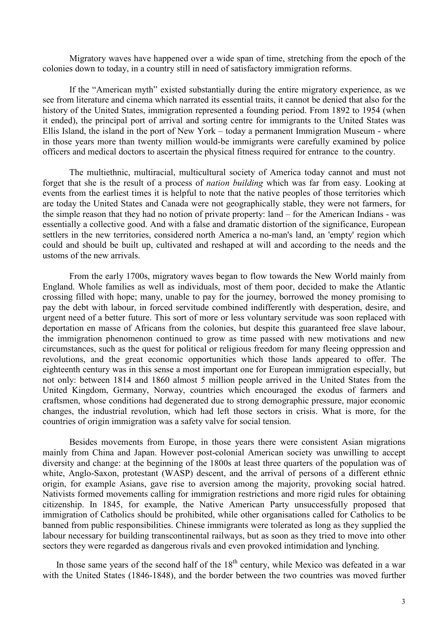Migratory waves have happened over a wide span of time, stretching from the epoch of the colonies down to today, in a country still in need of satisfactory immigration reforms.

If the "American myth" existed substantially during the entire migratory experience, as we see from literature and cinema which narrated its essential traits, it cannot be denied that also for the history of the United States, immigration represented a founding period. From 1892 to 1954 (when it ended), the principal port of arrival and sorting centre for immigrants to the United States was Ellis Island, the island in the port of New York – today a permanent Immigration Museum - where in those years more than twenty million would-be immigrants were carefully examined by police officers and medical doctors to ascertain the physical fitness required for entrance to the country.

The multiethnic, multiracial, multicultural society of America today cannot and must not forget that she is the result of a process of *nation building* which was far from easy. Looking at events from the earliest times it is helpful to note that the native peoples of those territories which are today the United States and Canada were not geographically stable, they were not farmers, for the simple reason that they had no notion of private property: land – for the American Indians - was essentially a collective good. And with a false and dramatic distortion of the significance, European settlers in the new territories, considered north America a no-man's land, an 'empty' region which could and should be built up, cultivated and reshaped at will and according to the needs and the ustoms of the new arrivals.

From the early 1700s, migratory waves began to flow towards the New World mainly from England. Whole families as well as individuals, most of them poor, decided to make the Atlantic crossing filled with hope; many, unable to pay for the journey, borrowed the money promising to pay the debt with labour, in forced servitude combined indifferently with desperation, desire, and urgent need of a better future. This sort of more or less voluntary servitude was soon replaced with deportation en masse of Africans from the colonies, but despite this guaranteed free slave labour, the immigration phenomenon continued to grow as time passed with new motivations and new circumstances, such as the quest for political or religious freedom for many fleeing oppression and revolutions, and the great economic opportunities which those lands appeared to offer. The eighteenth century was in this sense a most important one for European immigration especially, but not only: between 1814 and 1860 almost 5 million people arrived in the United States from the United Kingdom, Germany, Norway, countries which encouraged the exodus of farmers and craftsmen, whose conditions had degenerated due to strong demographic pressure, major economic changes, the industrial revolution, which had left those sectors in crisis. What is more, for the countries of origin immigration was a safety valve for social tension.

Besides movements from Europe, in those years there were consistent Asian migrations mainly from China and Japan. However post-colonial American society was unwilling to accept diversity and change: at the beginning of the 1800s at least three quarters of the population was of white, Anglo-Saxon, protestant (WASP) descent, and the arrival of persons of a different ethnic origin, for example Asians, gave rise to aversion among the majority, provoking social hatred. Nativists formed movements calling for immigration restrictions and more rigid rules for obtaining citizenship. In 1845, for example, the Native American Party unsuccessfully proposed that immigration of Catholics should be prohibited, while other organisations called for Catholics to be banned from public responsibilities. Chinese immigrants were tolerated as long as they supplied the labour necessary for building transcontinental railways, but as soon as they tried to move into other sectors they were regarded as dangerous rivals and even provoked intimidation and lynching.

In those same years of the second half of the  $18<sup>th</sup>$  century, while Mexico was defeated in a war with the United States (1846-1848), and the border between the two countries was moved further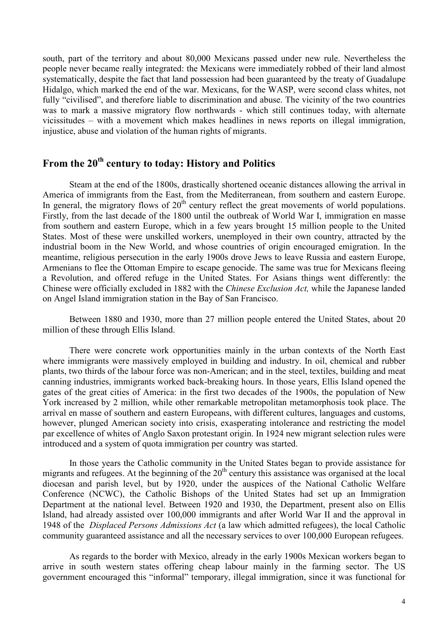south, part of the territory and about 80,000 Mexicans passed under new rule. Nevertheless the people never became really integrated: the Mexicans were immediately robbed of their land almost systematically, despite the fact that land possession had been guaranteed by the treaty of Guadalupe Hidalgo, which marked the end of the war. Mexicans, for the WASP, were second class whites, not fully "civilised", and therefore liable to discrimination and abuse. The vicinity of the two countries was to mark a massive migratory flow northwards - which still continues today, with alternate vicissitudes – with a movement which makes headlines in news reports on illegal immigration, injustice, abuse and violation of the human rights of migrants.

## **From the 20th century to today: History and Politics**

Steam at the end of the 1800s, drastically shortened oceanic distances allowing the arrival in America of immigrants from the East, from the Mediterranean, from southern and eastern Europe. In general, the migratory flows of  $20<sup>th</sup>$  century reflect the great movements of world populations. Firstly, from the last decade of the 1800 until the outbreak of World War I, immigration en masse from southern and eastern Europe, which in a few years brought 15 million people to the United States. Most of these were unskilled workers, unemployed in their own country, attracted by the industrial boom in the New World, and whose countries of origin encouraged emigration. In the meantime, religious persecution in the early 1900s drove Jews to leave Russia and eastern Europe, Armenians to flee the Ottoman Empire to escape genocide. The same was true for Mexicans fleeing a Revolution, and offered refuge in the United States. For Asians things went differently: the Chinese were officially excluded in 1882 with the *Chinese Exclusion Act,* while the Japanese landed on Angel Island immigration station in the Bay of San Francisco.

Between 1880 and 1930, more than 27 million people entered the United States, about 20 million of these through Ellis Island.

There were concrete work opportunities mainly in the urban contexts of the North East where immigrants were massively employed in building and industry. In oil, chemical and rubber plants, two thirds of the labour force was non-American; and in the steel, textiles, building and meat canning industries, immigrants worked back-breaking hours. In those years, Ellis Island opened the gates of the great cities of America: in the first two decades of the 1900s, the population of New York increased by 2 million, while other remarkable metropolitan metamorphosis took place. The arrival en masse of southern and eastern Europeans, with different cultures, languages and customs, however, plunged American society into crisis, exasperating intolerance and restricting the model par excellence of whites of Anglo Saxon protestant origin. In 1924 new migrant selection rules were introduced and a system of quota immigration per country was started.

In those years the Catholic community in the United States began to provide assistance for migrants and refugees. At the beginning of the  $20<sup>th</sup>$  century this assistance was organised at the local diocesan and parish level, but by 1920, under the auspices of the National Catholic Welfare Conference (NCWC), the Catholic Bishops of the United States had set up an Immigration Department at the national level. Between 1920 and 1930, the Department, present also on Ellis Island, had already assisted over 100,000 immigrants and after World War II and the approval in 1948 of the *Displaced Persons Admissions Act* (a law which admitted refugees), the local Catholic community guaranteed assistance and all the necessary services to over 100,000 European refugees.

As regards to the border with Mexico, already in the early 1900s Mexican workers began to arrive in south western states offering cheap labour mainly in the farming sector. The US government encouraged this "informal" temporary, illegal immigration, since it was functional for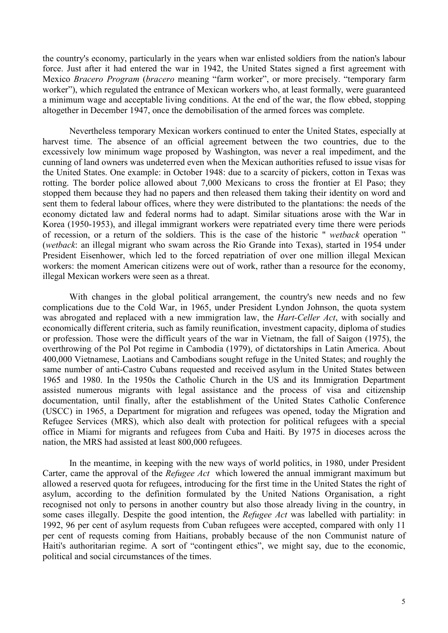the country's economy, particularly in the years when war enlisted soldiers from the nation's labour force. Just after it had entered the war in 1942, the United States signed a first agreement with Mexico *Bracero Program* (*bracero* meaning "farm worker", or more precisely. "temporary farm worker"), which regulated the entrance of Mexican workers who, at least formally, were guaranteed a minimum wage and acceptable living conditions. At the end of the war, the flow ebbed, stopping altogether in December 1947, once the demobilisation of the armed forces was complete.

Nevertheless temporary Mexican workers continued to enter the United States, especially at harvest time. The absence of an official agreement between the two countries, due to the excessively low minimum wage proposed by Washington, was never a real impediment, and the cunning of land owners was undeterred even when the Mexican authorities refused to issue visas for the United States. One example: in October 1948: due to a scarcity of pickers, cotton in Texas was rotting. The border police allowed about 7,000 Mexicans to cross the frontier at El Paso; they stopped them because they had no papers and then released them taking their identity on word and sent them to federal labour offices, where they were distributed to the plantations: the needs of the economy dictated law and federal norms had to adapt. Similar situations arose with the War in Korea (1950-1953), and illegal immigrant workers were repatriated every time there were periods of recession, or a return of the soldiers. This is the case of the historic " *wetback* operation " (*wetback*: an illegal migrant who swam across the Rio Grande into Texas), started in 1954 under President Eisenhower, which led to the forced repatriation of over one million illegal Mexican workers: the moment American citizens were out of work, rather than a resource for the economy, illegal Mexican workers were seen as a threat.

With changes in the global political arrangement, the country's new needs and no few complications due to the Cold War, in 1965, under President Lyndon Johnson, the quota system was abrogated and replaced with a new immigration law, the *Hart-Celler Act*, with socially and economically different criteria, such as family reunification, investment capacity, diploma of studies or profession. Those were the difficult years of the war in Vietnam, the fall of Saigon (1975), the overthrowing of the Pol Pot regime in Cambodia (1979), of dictatorships in Latin America. About 400,000 Vietnamese, Laotians and Cambodians sought refuge in the United States; and roughly the same number of anti-Castro Cubans requested and received asylum in the United States between 1965 and 1980. In the 1950s the Catholic Church in the US and its Immigration Department assisted numerous migrants with legal assistance and the process of visa and citizenship documentation, until finally, after the establishment of the United States Catholic Conference (USCC) in 1965, a Department for migration and refugees was opened, today the Migration and Refugee Services (MRS), which also dealt with protection for political refugees with a special office in Miami for migrants and refugees from Cuba and Haiti. By 1975 in dioceses across the nation, the MRS had assisted at least 800,000 refugees.

In the meantime, in keeping with the new ways of world politics, in 1980, under President Carter, came the approval of the *Refugee Act* which lowered the annual immigrant maximum but allowed a reserved quota for refugees, introducing for the first time in the United States the right of asylum, according to the definition formulated by the United Nations Organisation, a right recognised not only to persons in another country but also those already living in the country, in some cases illegally. Despite the good intention, the *Refugee Act* was labelled with partiality: in 1992, 96 per cent of asylum requests from Cuban refugees were accepted, compared with only 11 per cent of requests coming from Haitians, probably because of the non Communist nature of Haiti's authoritarian regime. A sort of "contingent ethics", we might say, due to the economic, political and social circumstances of the times.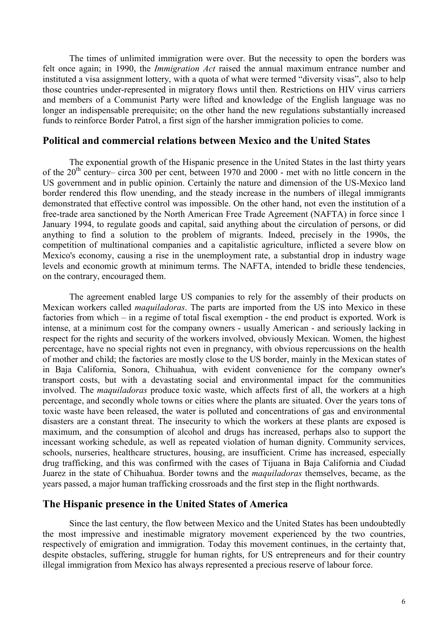The times of unlimited immigration were over. But the necessity to open the borders was felt once again; in 1990, the *Immigration Act* raised the annual maximum entrance number and instituted a visa assignment lottery, with a quota of what were termed "diversity visas", also to help those countries under-represented in migratory flows until then. Restrictions on HIV virus carriers and members of a Communist Party were lifted and knowledge of the English language was no longer an indispensable prerequisite; on the other hand the new regulations substantially increased funds to reinforce Border Patrol, a first sign of the harsher immigration policies to come.

#### **Political and commercial relations between Mexico and the United States**

The exponential growth of the Hispanic presence in the United States in the last thirty years of the 20<sup>th</sup> century– circa 300 per cent, between 1970 and 2000 - met with no little concern in the US government and in public opinion. Certainly the nature and dimension of the US-Mexico land border rendered this flow unending, and the steady increase in the numbers of illegal immigrants demonstrated that effective control was impossible. On the other hand, not even the institution of a free-trade area sanctioned by the North American Free Trade Agreement (NAFTA) in force since 1 January 1994, to regulate goods and capital, said anything about the circulation of persons, or did anything to find a solution to the problem of migrants. Indeed, precisely in the 1990s, the competition of multinational companies and a capitalistic agriculture, inflicted a severe blow on Mexico's economy, causing a rise in the unemployment rate, a substantial drop in industry wage levels and economic growth at minimum terms. The NAFTA, intended to bridle these tendencies, on the contrary, encouraged them.

The agreement enabled large US companies to rely for the assembly of their products on Mexican workers called *maquiladoras*. The parts are imported from the US into Mexico in these factories from which – in a regime of total fiscal exemption - the end product is exported. Work is intense, at a minimum cost for the company owners - usually American - and seriously lacking in respect for the rights and security of the workers involved, obviously Mexican. Women, the highest percentage, have no special rights not even in pregnancy, with obvious repercussions on the health of mother and child; the factories are mostly close to the US border, mainly in the Mexican states of in Baja California, Sonora, Chihuahua, with evident convenience for the company owner's transport costs, but with a devastating social and environmental impact for the communities involved. The *maquiladoras* produce toxic waste, which affects first of all, the workers at a high percentage, and secondly whole towns or cities where the plants are situated. Over the years tons of toxic waste have been released, the water is polluted and concentrations of gas and environmental disasters are a constant threat. The insecurity to which the workers at these plants are exposed is maximum, and the consumption of alcohol and drugs has increased, perhaps also to support the incessant working schedule, as well as repeated violation of human dignity. Community services, schools, nurseries, healthcare structures, housing, are insufficient. Crime has increased, especially drug trafficking, and this was confirmed with the cases of Tijuana in Baja California and Ciudad Juarez in the state of Chihuahua. Border towns and the *maquiladoras* themselves, became, as the years passed, a major human trafficking crossroads and the first step in the flight northwards.

#### **The Hispanic presence in the United States of America**

Since the last century, the flow between Mexico and the United States has been undoubtedly the most impressive and inestimable migratory movement experienced by the two countries, respectively of emigration and immigration. Today this movement continues, in the certainty that, despite obstacles, suffering, struggle for human rights, for US entrepreneurs and for their country illegal immigration from Mexico has always represented a precious reserve of labour force.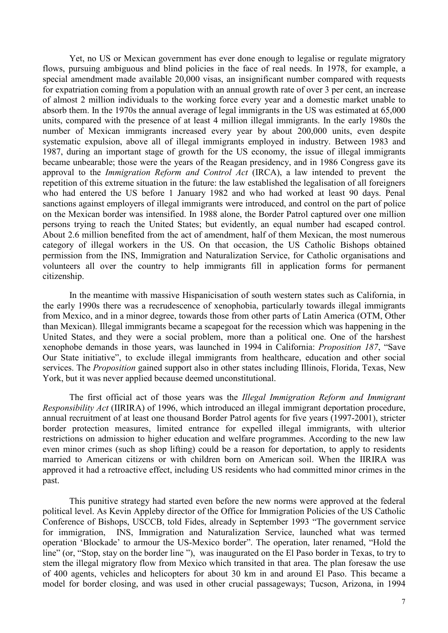Yet, no US or Mexican government has ever done enough to legalise or regulate migratory flows, pursuing ambiguous and blind policies in the face of real needs. In 1978, for example, a special amendment made available 20,000 visas, an insignificant number compared with requests for expatriation coming from a population with an annual growth rate of over 3 per cent, an increase of almost 2 million individuals to the working force every year and a domestic market unable to absorb them. In the 1970s the annual average of legal immigrants in the US was estimated at 65,000 units, compared with the presence of at least 4 million illegal immigrants. In the early 1980s the number of Mexican immigrants increased every year by about 200,000 units, even despite systematic expulsion, above all of illegal immigrants employed in industry. Between 1983 and 1987, during an important stage of growth for the US economy, the issue of illegal immigrants became unbearable; those were the years of the Reagan presidency, and in 1986 Congress gave its approval to the *Immigration Reform and Control Act* (IRCA), a law intended to prevent the repetition of this extreme situation in the future: the law established the legalisation of all foreigners who had entered the US before 1 January 1982 and who had worked at least 90 days. Penal sanctions against employers of illegal immigrants were introduced, and control on the part of police on the Mexican border was intensified. In 1988 alone, the Border Patrol captured over one million persons trying to reach the United States; but evidently, an equal number had escaped control. About 2.6 million benefited from the act of amendment, half of them Mexican, the most numerous category of illegal workers in the US. On that occasion, the US Catholic Bishops obtained permission from the INS, Immigration and Naturalization Service, for Catholic organisations and volunteers all over the country to help immigrants fill in application forms for permanent citizenship.

In the meantime with massive Hispanicisation of south western states such as California, in the early 1990s there was a recrudescence of xenophobia, particularly towards illegal immigrants from Mexico, and in a minor degree, towards those from other parts of Latin America (OTM, Other than Mexican). Illegal immigrants became a scapegoat for the recession which was happening in the United States, and they were a social problem, more than a political one. One of the harshest xenophobe demands in those years, was launched in 1994 in California: *Proposition 187*, "Save Our State initiative", to exclude illegal immigrants from healthcare, education and other social services. The *Proposition* gained support also in other states including Illinois, Florida, Texas, New York, but it was never applied because deemed unconstitutional.

The first official act of those years was the *Illegal Immigration Reform and Immigrant Responsibility Act* (IIRIRA) of 1996, which introduced an illegal immigrant deportation procedure, annual recruitment of at least one thousand Border Patrol agents for five years (1997-2001), stricter border protection measures, limited entrance for expelled illegal immigrants, with ulterior restrictions on admission to higher education and welfare programmes. According to the new law even minor crimes (such as shop lifting) could be a reason for deportation, to apply to residents married to American citizens or with children born on American soil. When the IIRIRA was approved it had a retroactive effect, including US residents who had committed minor crimes in the past.

This punitive strategy had started even before the new norms were approved at the federal political level. As Kevin Appleby director of the Office for Immigration Policies of the US Catholic Conference of Bishops, USCCB, told Fides, already in September 1993 "The government service for immigration, INS, Immigration and Naturalization Service, launched what was termed operation 'Blockade' to armour the US-Mexico border". The operation, later renamed, "Hold the line" (or, "Stop, stay on the border line "), was inaugurated on the El Paso border in Texas, to try to stem the illegal migratory flow from Mexico which transited in that area. The plan foresaw the use of 400 agents, vehicles and helicopters for about 30 km in and around El Paso. This became a model for border closing, and was used in other crucial passageways; Tucson, Arizona, in 1994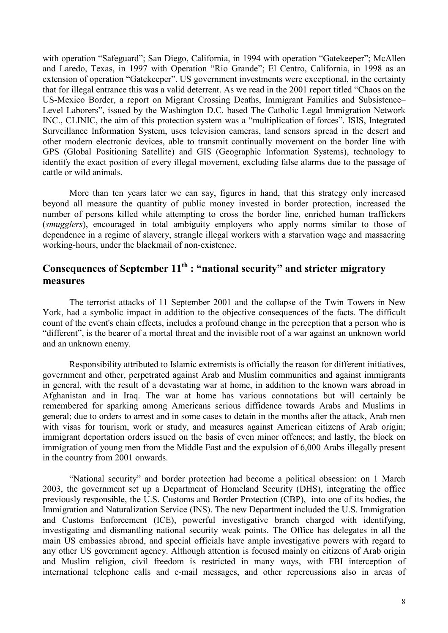with operation "Safeguard"; San Diego, California, in 1994 with operation "Gatekeeper"; McAllen and Laredo, Texas, in 1997 with Operation "Rio Grande"; El Centro, California, in 1998 as an extension of operation "Gatekeeper". US government investments were exceptional, in the certainty that for illegal entrance this was a valid deterrent. As we read in the 2001 report titled "Chaos on the US-Mexico Border, a report on Migrant Crossing Deaths, Immigrant Families and Subsistence– Level Laborers", issued by the Washington D.C. based The Catholic Legal Immigration Network INC., CLINIC, the aim of this protection system was a "multiplication of forces". ISIS, Integrated Surveillance Information System, uses television cameras, land sensors spread in the desert and other modern electronic devices, able to transmit continually movement on the border line with GPS (Global Positioning Satellite) and GIS (Geographic Information Systems), technology to identify the exact position of every illegal movement, excluding false alarms due to the passage of cattle or wild animals.

More than ten years later we can say, figures in hand, that this strategy only increased beyond all measure the quantity of public money invested in border protection, increased the number of persons killed while attempting to cross the border line, enriched human traffickers (*smugglers*), encouraged in total ambiguity employers who apply norms similar to those of dependence in a regime of slavery, strangle illegal workers with a starvation wage and massacring working-hours, under the blackmail of non-existence.

#### **Consequences of September 11th : "national security" and stricter migratory measures**

The terrorist attacks of 11 September 2001 and the collapse of the Twin Towers in New York, had a symbolic impact in addition to the objective consequences of the facts. The difficult count of the event's chain effects, includes a profound change in the perception that a person who is "different", is the bearer of a mortal threat and the invisible root of a war against an unknown world and an unknown enemy.

Responsibility attributed to Islamic extremists is officially the reason for different initiatives, government and other, perpetrated against Arab and Muslim communities and against immigrants in general, with the result of a devastating war at home, in addition to the known wars abroad in Afghanistan and in Iraq. The war at home has various connotations but will certainly be remembered for sparking among Americans serious diffidence towards Arabs and Muslims in general; due to orders to arrest and in some cases to detain in the months after the attack, Arab men with visas for tourism, work or study, and measures against American citizens of Arab origin; immigrant deportation orders issued on the basis of even minor offences; and lastly, the block on immigration of young men from the Middle East and the expulsion of 6,000 Arabs illegally present in the country from 2001 onwards.

"National security" and border protection had become a political obsession: on 1 March 2003, the government set up a Department of Homeland Security (DHS), integrating the office previously responsible, the U.S. Customs and Border Protection (CBP), into one of its bodies, the Immigration and Naturalization Service (INS). The new Department included the U.S. Immigration and Customs Enforcement (ICE), powerful investigative branch charged with identifying, investigating and dismantling national security weak points. The Office has delegates in all the main US embassies abroad, and special officials have ample investigative powers with regard to any other US government agency. Although attention is focused mainly on citizens of Arab origin and Muslim religion, civil freedom is restricted in many ways, with FBI interception of international telephone calls and e-mail messages, and other repercussions also in areas of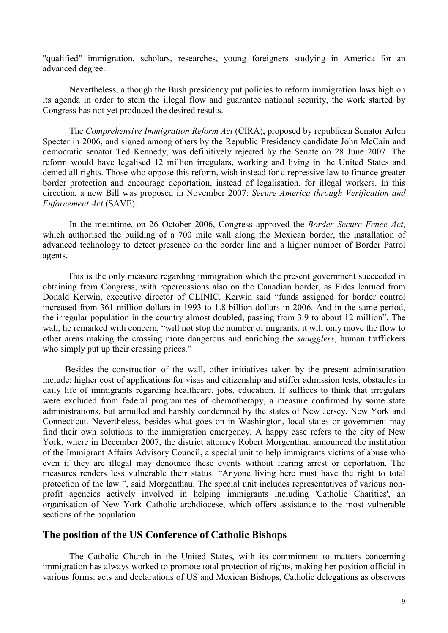"qualified" immigration, scholars, researches, young foreigners studying in America for an advanced degree.

Nevertheless, although the Bush presidency put policies to reform immigration laws high on its agenda in order to stem the illegal flow and guarantee national security, the work started by Congress has not yet produced the desired results.

The *Comprehensive Immigration Reform Act* (CIRA), proposed by republican Senator Arlen Specter in 2006, and signed among others by the Republic Presidency candidate John McCain and democratic senator Ted Kennedy, was definitively rejected by the Senate on 28 June 2007. The reform would have legalised 12 million irregulars, working and living in the United States and denied all rights. Those who oppose this reform, wish instead for a repressive law to finance greater border protection and encourage deportation, instead of legalisation, for illegal workers. In this direction, a new Bill was proposed in November 2007: *Secure America through Verification and Enforcement Act* (SAVE).

In the meantime, on 26 October 2006, Congress approved the *Border Secure Fence Act*, which authorised the building of a 700 mile wall along the Mexican border, the installation of advanced technology to detect presence on the border line and a higher number of Border Patrol agents.

 This is the only measure regarding immigration which the present government succeeded in obtaining from Congress, with repercussions also on the Canadian border, as Fides learned from Donald Kerwin, executive director of CLINIC. Kerwin said "funds assigned for border control increased from 361 million dollars in 1993 to 1.8 billion dollars in 2006. And in the same period, the irregular population in the country almost doubled, passing from 3.9 to about 12 million". The wall, he remarked with concern, "will not stop the number of migrants, it will only move the flow to other areas making the crossing more dangerous and enriching the *smugglers*, human traffickers who simply put up their crossing prices."

 Besides the construction of the wall, other initiatives taken by the present administration include: higher cost of applications for visas and citizenship and stiffer admission tests, obstacles in daily life of immigrants regarding healthcare, jobs, education. If suffices to think that irregulars were excluded from federal programmes of chemotherapy, a measure confirmed by some state administrations, but annulled and harshly condemned by the states of New Jersey, New York and Connecticut. Nevertheless, besides what goes on in Washington, local states or government may find their own solutions to the immigration emergency. A happy case refers to the city of New York, where in December 2007, the district attorney Robert Morgenthau announced the institution of the Immigrant Affairs Advisory Council, a special unit to help immigrants victims of abuse who even if they are illegal may denounce these events without fearing arrest or deportation. The measures renders less vulnerable their status. "Anyone living here must have the right to total protection of the law ", said Morgenthau. The special unit includes representatives of various nonprofit agencies actively involved in helping immigrants including 'Catholic Charities', an organisation of New York Catholic archdiocese, which offers assistance to the most vulnerable sections of the population.

#### **The position of the US Conference of Catholic Bishops**

 The Catholic Church in the United States, with its commitment to matters concerning immigration has always worked to promote total protection of rights, making her position official in various forms: acts and declarations of US and Mexican Bishops, Catholic delegations as observers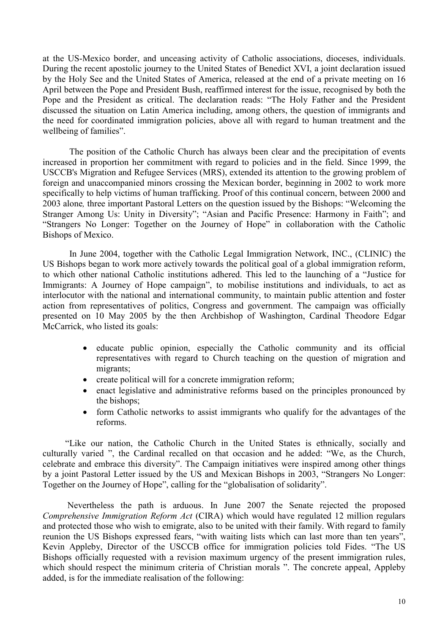at the US-Mexico border, and unceasing activity of Catholic associations, dioceses, individuals. During the recent apostolic journey to the United States of Benedict XVI, a joint declaration issued by the Holy See and the United States of America, released at the end of a private meeting on 16 April between the Pope and President Bush, reaffirmed interest for the issue, recognised by both the Pope and the President as critical. The declaration reads: "The Holy Father and the President discussed the situation on Latin America including, among others, the question of immigrants and the need for coordinated immigration policies, above all with regard to human treatment and the wellbeing of families".

The position of the Catholic Church has always been clear and the precipitation of events increased in proportion her commitment with regard to policies and in the field. Since 1999, the USCCB's Migration and Refugee Services (MRS), extended its attention to the growing problem of foreign and unaccompanied minors crossing the Mexican border, beginning in 2002 to work more specifically to help victims of human trafficking. Proof of this continual concern, between 2000 and 2003 alone*,* three important Pastoral Letters on the question issued by the Bishops: "Welcoming the Stranger Among Us: Unity in Diversity"; "Asian and Pacific Presence: Harmony in Faith"; and "Strangers No Longer: Together on the Journey of Hope" in collaboration with the Catholic Bishops of Mexico.

In June 2004, together with the Catholic Legal Immigration Network, INC., (CLINIC) the US Bishops began to work more actively towards the political goal of a global immigration reform, to which other national Catholic institutions adhered. This led to the launching of a "Justice for Immigrants: A Journey of Hope campaign", to mobilise institutions and individuals, to act as interlocutor with the national and international community, to maintain public attention and foster action from representatives of politics, Congress and government. The campaign was officially presented on 10 May 2005 by the then Archbishop of Washington, Cardinal Theodore Edgar McCarrick, who listed its goals:

- educate public opinion, especially the Catholic community and its official representatives with regard to Church teaching on the question of migration and migrants;
- create political will for a concrete immigration reform;
- enact legislative and administrative reforms based on the principles pronounced by the bishops;
- form Catholic networks to assist immigrants who qualify for the advantages of the reforms.

 "Like our nation, the Catholic Church in the United States is ethnically, socially and culturally varied ", the Cardinal recalled on that occasion and he added: "We, as the Church, celebrate and embrace this diversity". The Campaign initiatives were inspired among other things by a joint Pastoral Letter issued by the US and Mexican Bishops in 2003, "Strangers No Longer: Together on the Journey of Hope", calling for the "globalisation of solidarity".

 Nevertheless the path is arduous. In June 2007 the Senate rejected the proposed *Comprehensive Immigration Reform Act* (CIRA) which would have regulated 12 million regulars and protected those who wish to emigrate, also to be united with their family. With regard to family reunion the US Bishops expressed fears, "with waiting lists which can last more than ten years", Kevin Appleby, Director of the USCCB office for immigration policies told Fides. "The US Bishops officially requested with a revision maximum urgency of the present immigration rules, which should respect the minimum criteria of Christian morals ". The concrete appeal, Appleby added, is for the immediate realisation of the following: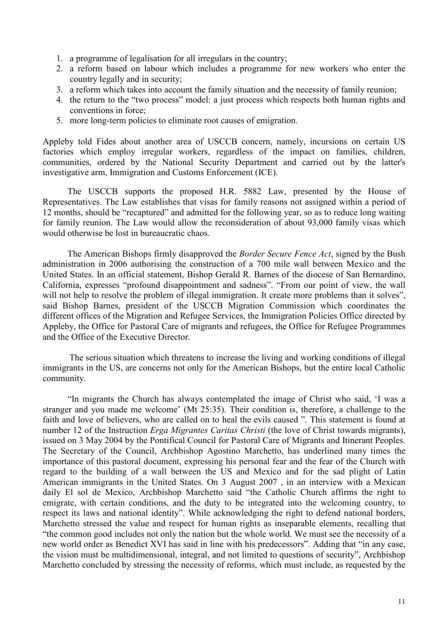- 1. a programme of legalisation for all irregulars in the country;
- 2. a reform based on labour which includes a programme for new workers who enter the country legally and in security;
- 3. a reform which takes into account the family situation and the necessity of family reunion;
- 4. the return to the "two process" model: a just process which respects both human rights and conventions in force;
- 5. more long-term policies to eliminate root causes of emigration.

Appleby told Fides about another area of USCCB concern, namely, incursions on certain US factories which employ irregular workers, regardless of the impact on families, children, communities, ordered by the National Security Department and carried out by the latter's investigative arm, Immigration and Customs Enforcement (ICE).

 The USCCB supports the proposed H.R. 5882 Law, presented by the House of Representatives. The Law establishes that visas for family reasons not assigned within a period of 12 months, should be "recaptured" and admitted for the following year, so as to reduce long waiting for family reunion. The Law would allow the reconsideration of about 93,000 family visas which would otherwise be lost in bureaucratic chaos.

 The American Bishops firmly disapproved the *Border Secure Fence Act*, signed by the Bush administration in 2006 authorising the construction of a 700 mile wall between Mexico and the United States. In an official statement, Bishop Gerald R. Barnes of the diocese of San Bernardino, California, expresses "profound disappointment and sadness". "From our point of view, the wall will not help to resolve the problem of illegal immigration. It create more problems than it solves", said Bishop Barnes, president of the USCCB Migration Commission which coordinates the different offices of the Migration and Refugee Services, the Immigration Policies Office directed by Appleby, the Office for Pastoral Care of migrants and refugees, the Office for Refugee Programmes and the Office of the Executive Director.

The serious situation which threatens to increase the living and working conditions of illegal immigrants in the US, are concerns not only for the American Bishops, but the entire local Catholic community.

 "In migrants the Church has always contemplated the image of Christ who said, 'I was a stranger and you made me welcome' (Mt 25:35). Their condition is, therefore, a challenge to the faith and love of believers, who are called on to heal the evils caused ". This statement is found at number 12 of the Instruction *Erga Migrantes Caritas Christi* (the love of Christ towards migrants), issued on 3 May 2004 by the Pontifical Council for Pastoral Care of Migrants and Itinerant Peoples. The Secretary of the Council, Archbishop Agostino Marchetto, has underlined many times the importance of this pastoral document, expressing his personal fear and the fear of the Church with regard to the building of a wall between the US and Mexico and for the sad plight of Latin American immigrants in the United States. On 3 August 2007 , in an interview with a Mexican daily El sol de Mexico, Archbishop Marchetto said "the Catholic Church affirms the right to emigrate, with certain conditions, and the duty to be integrated into the welcoming country, to respect its laws and national identity". While acknowledging the right to defend national borders, Marchetto stressed the value and respect for human rights as inseparable elements, recalling that "the common good includes not only the nation but the whole world. We must see the necessity of a new world order as Benedict XVI has said in line with his predecessors". Adding that "in any case, the vision must be multidimensional, integral, and not limited to questions of security", Archbishop Marchetto concluded by stressing the necessity of reforms, which must include, as requested by the